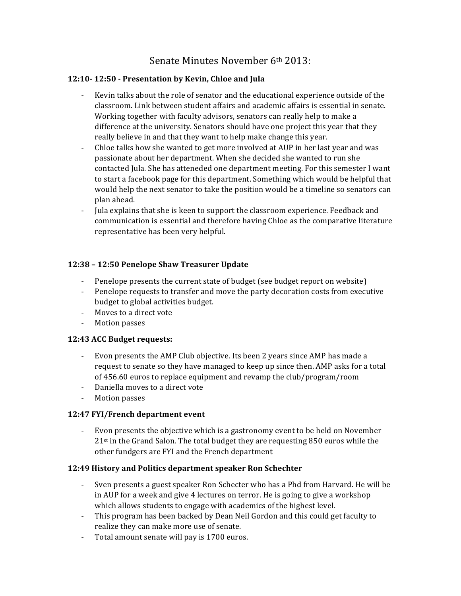# Senate Minutes November  $6<sup>th</sup> 2013$ :

# **12:10- 12:50 - Presentation by Kevin, Chloe and Jula**

- Kevin talks about the role of senator and the educational experience outside of the classroom. Link between student affairs and academic affairs is essential in senate. Working together with faculty advisors, senators can really help to make a difference at the university. Senators should have one project this year that they really believe in and that they want to help make change this year.
- Chloe talks how she wanted to get more involved at AUP in her last year and was passionate about her department. When she decided she wanted to run she contacted Jula. She has atteneded one department meeting. For this semester I want to start a facebook page for this department. Something which would be helpful that would help the next senator to take the position would be a timeline so senators can plan ahead.
- Jula explains that she is keen to support the classroom experience. Feedback and communication is essential and therefore having Chloe as the comparative literature representative has been very helpful.

# **12:38 – 12:50 Penelope Shaw Treasurer Update**

- Penelope presents the current state of budget (see budget report on website)
- Penelope requests to transfer and move the party decoration costs from executive budget to global activities budget.
- Moves to a direct vote
- Motion passes

## **12:43 ACC Budget requests:**

- Evon presents the AMP Club objective. Its been 2 years since AMP has made a request to senate so they have managed to keep up since then. AMP asks for a total of 456.60 euros to replace equipment and revamp the club/program/room
- Daniella moves to a direct vote
- Motion passes

## **12:47 FYI/French department event**

- Evon presents the objective which is a gastronomy event to be held on November  $21<sup>st</sup>$  in the Grand Salon. The total budget they are requesting 850 euros while the other fundgers are FYI and the French department

## **12:49 History and Politics department speaker Ron Schechter**

- Sven presents a guest speaker Ron Schecter who has a Phd from Harvard. He will be in AUP for a week and give 4 lectures on terror. He is going to give a workshop which allows students to engage with academics of the highest level.
- This program has been backed by Dean Neil Gordon and this could get faculty to realize they can make more use of senate.
- Total amount senate will pay is 1700 euros.